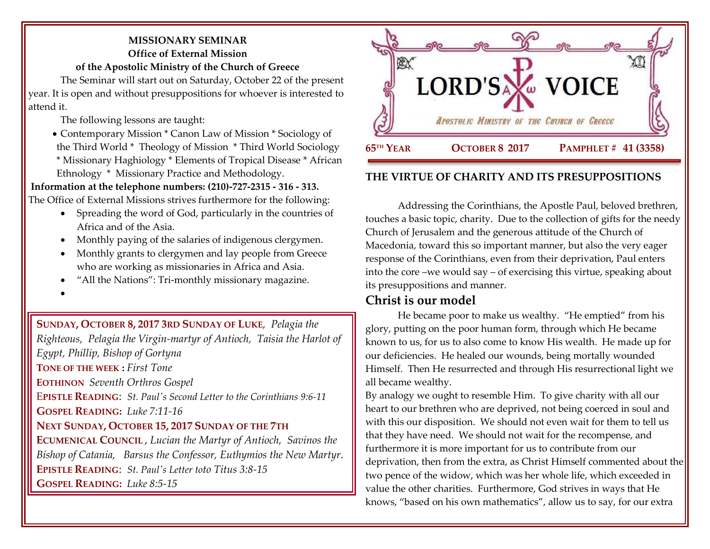## **MISSIONARY SEMINAR Office of External Mission**

**of the Apostolic Ministry of the Church of Greece**

The Seminar will start out on Saturday, October 22 of the present year. It is open and without presuppositions for whoever is interested to attend it.

The following lessons are taught:

• Contemporary Mission \* Canon Law of Mission \* Sociology of the Third World \* Theology of Mission \* Third World Sociology \* Missionary Haghiology \* Elements of Tropical Disease \* African Ethnology \* Missionary Practice and Methodology.

# **Information at the telephone numbers: (210)-727-2315 - 316 - 313.**

The Office of External Missions strives furthermore for the following:

- Spreading the word of God, particularly in the countries of Africa and of the Asia.
- Monthly paying of the salaries of indigenous clergymen.
- Monthly grants to clergymen and lay people from Greece who are working as missionaries in Africa and Asia.
- "All the Nations": Tri-monthly missionary magazine.
- •

**SUNDAY, OCTOBER 8, 2017 3RD SUNDAY OF LUKE***, [Pelagia the](https://www.goarch.org/chapel/saints?contentid=232)  [Righteous, P](https://www.goarch.org/chapel/saints?contentid=232)elagia the Virgin-martyr of Antioch, Taisia the Harlot of Egypt, Phillip, Bishop of Gortyna*  **TONE OF THE WEEK :** *First Tone* **EOTHINON** *Seventh Orthros Gospel* E**PISTLE READING**: *[St. Paul's Second Letter to the Corinthians 9:6-11](https://www.goarch.org/chapel/lectionary?type=epistle&code=27&event=940&date=5/28/2017)*  **GOSPEL R[EADING](https://www.goarch.org/chapel/lectionary?type=gospel&code=43&event=940&date=5/28/2017):** *Luke 7:11-16* **NEXT SUNDAY, OCTOBER 15, 2017 S[UNDAY OF THE](https://www.goarch.org/chapel/saints?contentid=883&PCode=4LS&D=S&date=10/15/2017) 7TH E[CUMENICAL](https://www.goarch.org/chapel/saints?contentid=883&PCode=4LS&D=S&date=10/15/2017) COUNCIL** , *[Lucian the Martyr of Antioch, S](https://www.goarch.org/chapel/saints?contentid=242)avinos the Bishop of Catania, Barsus the Confessor, Euthymios the New Martyr*. **EPISTLE READING**: *[St. Paul's Letter to](https://www.goarch.org/chapel/lectionary?type=epistle&code=27&event=940&date=5/28/2017)to Titus 3:8-15* **GOSPEL R[EADING](https://www.goarch.org/chapel/lectionary?type=gospel&code=43&event=940&date=5/28/2017):** *Luke 8:5-15*



### **THE VIRTUE OF CHARITY AND ITS PRESUPPOSITIONS**

Addressing the Corinthians, the Apostle Paul, beloved brethren, touches a basic topic, charity. Due to the collection of gifts for the needy Church of Jerusalem and the generous attitude of the Church of Macedonia, toward this so important manner, but also the very eager response of the Corinthians, even from their deprivation, Paul enters into the core –we would say – of exercising this virtue, speaking about its presuppositions and manner.

# **Christ is our model**

He became poor to make us wealthy. "He emptied" from his glory, putting on the poor human form, through which He became known to us, for us to also come to know His wealth. He made up for our deficiencies. He healed our wounds, being mortally wounded Himself. Then He resurrected and through His resurrectional light we all became wealthy.

By analogy we ought to resemble Him. To give charity with all our heart to our brethren who are deprived, not being coerced in soul and with this our disposition. We should not even wait for them to tell us that they have need. We should not wait for the recompense, and furthermore it is more important for us to contribute from our deprivation, then from the extra, as Christ Himself commented about the two pence of the widow, which was her whole life, which exceeded in value the other charities. Furthermore, God strives in ways that He knows, "based on his own mathematics", allow us to say, for our extra